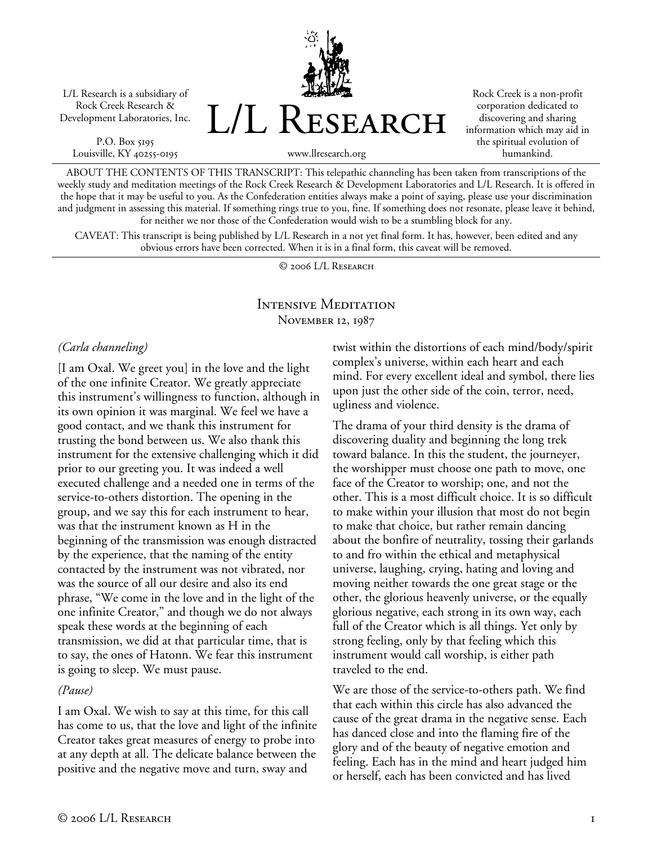L/L Research is a subsidiary of Rock Creek Research & Development Laboratories, Inc.

P.O. Box 5195 Louisville, KY 40255-0195 L/L Research

Rock Creek is a non-profit corporation dedicated to discovering and sharing information which may aid in the spiritual evolution of humankind.

www.llresearch.org

ABOUT THE CONTENTS OF THIS TRANSCRIPT: This telepathic channeling has been taken from transcriptions of the weekly study and meditation meetings of the Rock Creek Research & Development Laboratories and L/L Research. It is offered in the hope that it may be useful to you. As the Confederation entities always make a point of saying, please use your discrimination and judgment in assessing this material. If something rings true to you, fine. If something does not resonate, please leave it behind, for neither we nor those of the Confederation would wish to be a stumbling block for any.

CAVEAT: This transcript is being published by L/L Research in a not yet final form. It has, however, been edited and any obvious errors have been corrected. When it is in a final form, this caveat will be removed.

© 2006 L/L Research

## Intensive Meditation November 12, 1987

## *(Carla channeling)*

[I am Oxal. We greet you] in the love and the light of the one infinite Creator. We greatly appreciate this instrument's willingness to function, although in its own opinion it was marginal. We feel we have a good contact, and we thank this instrument for trusting the bond between us. We also thank this instrument for the extensive challenging which it did prior to our greeting you. It was indeed a well executed challenge and a needed one in terms of the service-to-others distortion. The opening in the group, and we say this for each instrument to hear, was that the instrument known as H in the beginning of the transmission was enough distracted by the experience, that the naming of the entity contacted by the instrument was not vibrated, nor was the source of all our desire and also its end phrase, "We come in the love and in the light of the one infinite Creator," and though we do not always speak these words at the beginning of each transmission, we did at that particular time, that is to say, the ones of Hatonn. We fear this instrument is going to sleep. We must pause.

## *(Pause)*

I am Oxal. We wish to say at this time, for this call has come to us, that the love and light of the infinite Creator takes great measures of energy to probe into at any depth at all. The delicate balance between the positive and the negative move and turn, sway and

twist within the distortions of each mind/body/spirit complex's universe, within each heart and each mind. For every excellent ideal and symbol, there lies upon just the other side of the coin, terror, need, ugliness and violence.

The drama of your third density is the drama of discovering duality and beginning the long trek toward balance. In this the student, the journeyer, the worshipper must choose one path to move, one face of the Creator to worship; one, and not the other. This is a most difficult choice. It is so difficult to make within your illusion that most do not begin to make that choice, but rather remain dancing about the bonfire of neutrality, tossing their garlands to and fro within the ethical and metaphysical universe, laughing, crying, hating and loving and moving neither towards the one great stage or the other, the glorious heavenly universe, or the equally glorious negative, each strong in its own way, each full of the Creator which is all things. Yet only by strong feeling, only by that feeling which this instrument would call worship, is either path traveled to the end.

We are those of the service-to-others path. We find that each within this circle has also advanced the cause of the great drama in the negative sense. Each has danced close and into the flaming fire of the glory and of the beauty of negative emotion and feeling. Each has in the mind and heart judged him or herself, each has been convicted and has lived